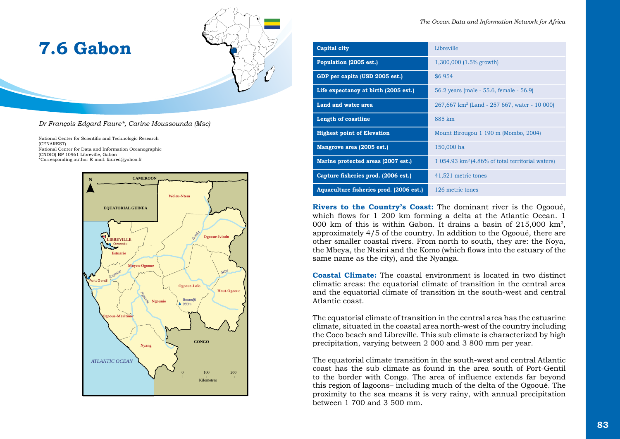| 7.6 Gabon |
|-----------|
|-----------|



*Dr François Edgard Faure\*, Carine Moussounda (Msc)*

National Center for Scientific and Technologic Research (CENAREST) National Center for Data and Information Oceanographic (CNDIO) BP 10961 Libreville, Gabon \*Corresponding author E-mail: faured@yahoo.fr

----------------------------------



| Capital city                            | Libreville                                                  |
|-----------------------------------------|-------------------------------------------------------------|
| Population (2005 est.)                  | $1,300,000$ (1.5% growth)                                   |
| GDP per capita (USD 2005 est.)          | \$6954                                                      |
| Life expectancy at birth (2005 est.)    | 56.2 years (male - 55.6, female - 56.9)                     |
| Land and water area                     | $267,667$ km <sup>2</sup> (Land - 257 667, water - 10 000)  |
| Length of coastline                     | 885 km                                                      |
| <b>Highest point of Elevation</b>       | Mount Birougou 1 190 m (Mombo, 2004)                        |
| Mangrove area (2005 est.)               | 150,000 ha                                                  |
| Marine protected areas (2007 est.)      | $1.054.93 \text{ km}^2$ (4.86% of total territorial waters) |
| Capture fisheries prod. (2006 est.)     | 41,521 metric tones                                         |
| Aquaculture fisheries prod. (2006 est.) | 126 metric tones                                            |

**Rivers to the Country's Coast:** The dominant river is the Ogooué, which flows for 1 200 km forming a delta at the Atlantic Ocean. 1 000 km of this is within Gabon. It drains a basin of 215,000 km2, approximately 4/5 of the country. In addition to the Ogooué, there are other smaller coastal rivers. From north to south, they are: the Noya, the Mbeya, the Ntsini and the Komo (which flows into the estuary of the same name as the city), and the Nyanga.

**Coastal Climate:** The coastal environment is located in two distinct climatic areas: the equatorial climate of transition in the central area and the equatorial climate of transition in the south-west and central Atlantic coast.

The equatorial climate of transition in the central area has the estuarine climate, situated in the coastal area north-west of the country including the Coco beach and Libreville. This sub climate is characterized by high precipitation, varying between 2 000 and 3 800 mm per year.

The equatorial climate transition in the south-west and central Atlantic coast has the sub climate as found in the area south of Port-Gentil to the border with Congo. The area of influence extends far beyond this region of lagoons– including much of the delta of the Ogooué. The proximity to the sea means it is very rainy, with annual precipitation between 1 700 and 3 500 mm.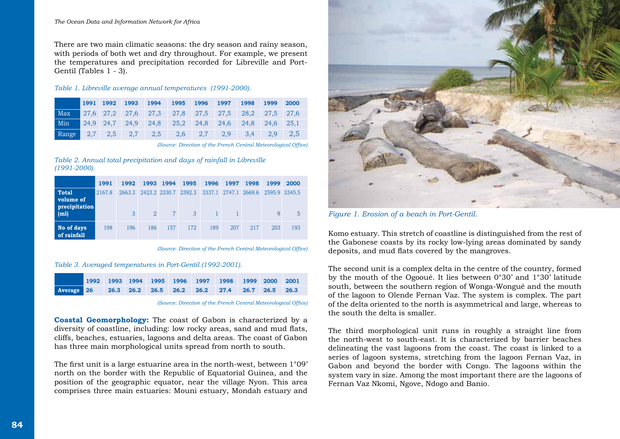#### *The Ocean Data and Information Network for Africa*

There are two main climatic seasons: the dry season and rainy season, with periods of both wet and dry throughout. For example, we present the temperatures and precipitation recorded for Libreville and Port-Gentil (Tables 1 - 3).

#### *Table 1. Libreville average annual temperatures (1991-2000).*

|     | 1991 | 1992 | 1993 | 1994 | 1995 1996 1997 1998 |  |                                                                   | 1999 | 2000 |
|-----|------|------|------|------|---------------------|--|-------------------------------------------------------------------|------|------|
| Max |      |      |      |      |                     |  | 27,6 27,2 27,6 27,3 27,8 27,5 27,5 28,2 27,5 27,6                 |      |      |
| Min |      |      |      |      |                     |  | 24,9 24,7 24,9 24,8 25,2 24,8 24,6 24,8 24,6 25,1                 |      |      |
|     |      |      |      |      |                     |  | Range $2,7$ $2,5$ $2,7$ $2,5$ $2,6$ $2,7$ $2,9$ $3,4$ $2,9$ $2,5$ |      |      |

 *(Source: Direction of the French Central Meteorological Office)*

#### *Table 2. Annual total precipitation and days of rainfall in Libreville (1991-2000).*

|                                            | 1991   | 1992   |                | 1993 1994 1995 |                      | 1996 1997 |     | 1998 | 1999                               | 2000 |
|--------------------------------------------|--------|--------|----------------|----------------|----------------------|-----------|-----|------|------------------------------------|------|
| <b>Total</b><br>volume of<br>precipitation | 2167.8 | 2663.3 |                |                | 2423.2 2330.7 2392.3 |           |     |      | 3337.1 2747.1 2669.6 2595.9 3345.5 |      |
| (m1)                                       |        | 3      | $\overline{2}$ | $7^{\circ}$    | $\mathcal{E}$        |           |     |      | Q.                                 |      |
| No of days<br>of rainfall                  | 198    | 196    | 186            | 157            | 172                  | 189       | 207 | 217  | 203                                | 193  |

*(Source: Direction of the French Central Meteorological Office)*

#### *Table 3. Averaged temperatures in Port-Gentil (1992-2001).*

|            |  |  | 1992 1993 1994 1995 1996 1997 1998 1999 2000 2001 |  |  |
|------------|--|--|---------------------------------------------------|--|--|
| Average 26 |  |  | $26.3$ 26.2 26.5 26.2 26.2 27.4 26.7 26.5 26.3    |  |  |

*(Source: Direction of the French Central Meteorological Office)*

**Coastal Geomorphology:** The coast of Gabon is characterized by a diversity of coastline, including: low rocky areas, sand and mud flats, cliffs, beaches, estuaries, lagoons and delta areas. The coast of Gabon has three main morphological units spread from north to south.

The first unit is a large estuarine area in the north-west, between 1°09' north on the border with the Republic of Equatorial Guinea, and the position of the geographic equator, near the village Nyon. This area comprises three main estuaries: Mouni estuary, Mondah estuary and



*Figure 1. Erosion of a beach in Port-Gentil.*

Komo estuary. This stretch of coastline is distinguished from the rest of the Gabonese coasts by its rocky low-lying areas dominated by sandy deposits, and mud flats covered by the mangroves.

The second unit is a complex delta in the centre of the country, formed by the mouth of the Ogooué. It lies between 0°30' and 1°30' latitude south, between the southern region of Wonga-Wongué and the mouth of the lagoon to Olende Fernan Vaz. The system is complex. The part of the delta oriented to the north is asymmetrical and large, whereas to the south the delta is smaller.

The third morphological unit runs in roughly a straight line from the north-west to south-east. It is characterized by barrier beaches delineating the vast lagoons from the coast. The coast is linked to a series of lagoon systems, stretching from the lagoon Fernan Vaz, in Gabon and beyond the border with Congo. The lagoons within the system vary in size. Among the most important there are the lagoons of Fernan Vaz Nkomi, Ngove, Ndogo and Banio.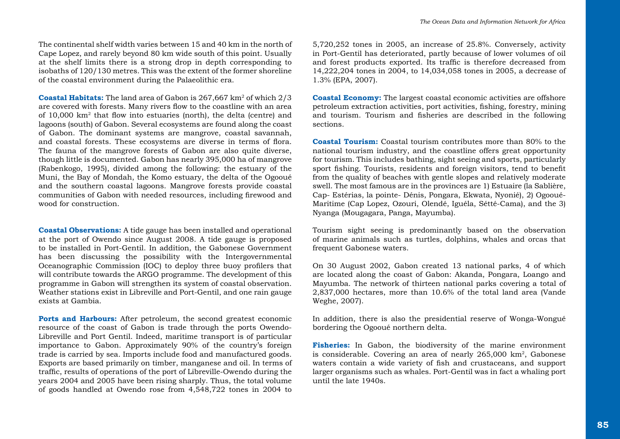The continental shelf width varies between 15 and 40 km in the north of Cape Lopez, and rarely beyond 80 km wide south of this point. Usually at the shelf limits there is a strong drop in depth corresponding to isobaths of 120/130 metres. This was the extent of the former shoreline of the coastal environment during the Palaeolithic era.

**Coastal Habitats:** The land area of Gabon is 267,667 km2 of which 2/3 are covered with forests. Many rivers flow to the coastline with an area of 10,000 km2 that flow into estuaries (north), the delta (centre) and lagoons (south) of Gabon. Several ecosystems are found along the coast of Gabon. The dominant systems are mangrove, coastal savannah, and coastal forests. These ecosystems are diverse in terms of flora. The fauna of the mangrove forests of Gabon are also quite diverse, though little is documented. Gabon has nearly 395,000 ha of mangrove (Rabenkogo, 1995), divided among the following: the estuary of the Muni, the Bay of Mondah, the Komo estuary, the delta of the Ogooué and the southern coastal lagoons. Mangrove forests provide coastal communities of Gabon with needed resources, including firewood and wood for construction.

**Coastal Observations:** A tide gauge has been installed and operational at the port of Owendo since August 2008. A tide gauge is proposed to be installed in Port-Gentil. In addition, the Gabonese Government has been discussing the possibility with the Intergovernmental Oceanographic Commission (IOC) to deploy three buoy profilers that will contribute towards the ARGO programme. The development of this programme in Gabon will strengthen its system of coastal observation. Weather stations exist in Libreville and Port-Gentil, and one rain gauge exists at Gambia.

**Ports and Harbours:** After petroleum, the second greatest economic resource of the coast of Gabon is trade through the ports Owendo-Libreville and Port Gentil. Indeed, maritime transport is of particular importance to Gabon. Approximately 90% of the country's foreign trade is carried by sea. Imports include food and manufactured goods. Exports are based primarily on timber, manganese and oil. In terms of traffic, results of operations of the port of Libreville-Owendo during the years 2004 and 2005 have been rising sharply. Thus, the total volume of goods handled at Owendo rose from 4,548,722 tones in 2004 to 5,720,252 tones in 2005, an increase of 25.8%. Conversely, activity in Port-Gentil has deteriorated, partly because of lower volumes of oil and forest products exported. Its traffic is therefore decreased from 14,222,204 tones in 2004, to 14,034,058 tones in 2005, a decrease of 1.3% (EPA, 2007).

**Coastal Economy:** The largest coastal economic activities are offshore petroleum extraction activities, port activities, fishing, forestry, mining and tourism. Tourism and fisheries are described in the following sections.

**Coastal Tourism:** Coastal tourism contributes more than 80% to the national tourism industry, and the coastline offers great opportunity for tourism. This includes bathing, sight seeing and sports, particularly sport fishing. Tourists, residents and foreign visitors, tend to benefit from the quality of beaches with gentle slopes and relatively moderate swell. The most famous are in the provinces are 1) Estuaire (la Sablière, Cap- Estérias, la pointe- Dénis, Pongara, Ekwata, Nyonié), 2) Ogooué-Maritime (Cap Lopez, Ozouri, Olendé, Iguéla, Sétté-Cama), and the 3) Nyanga (Mougagara, Panga, Mayumba).

Tourism sight seeing is predominantly based on the observation of marine animals such as turtles, dolphins, whales and orcas that frequent Gabonese waters.

On 30 August 2002, Gabon created 13 national parks, 4 of which are located along the coast of Gabon: Akanda, Pongara, Loango and Mayumba. The network of thirteen national parks covering a total of 2,837,000 hectares, more than 10.6% of the total land area (Vande Weghe, 2007).

In addition, there is also the presidential reserve of Wonga-Wongué bordering the Ogooué northern delta.

**Fisheries:** In Gabon, the biodiversity of the marine environment is considerable. Covering an area of nearly 265,000 km2, Gabonese waters contain a wide variety of fish and crustaceans, and support larger organisms such as whales. Port-Gentil was in fact a whaling port until the late 1940s.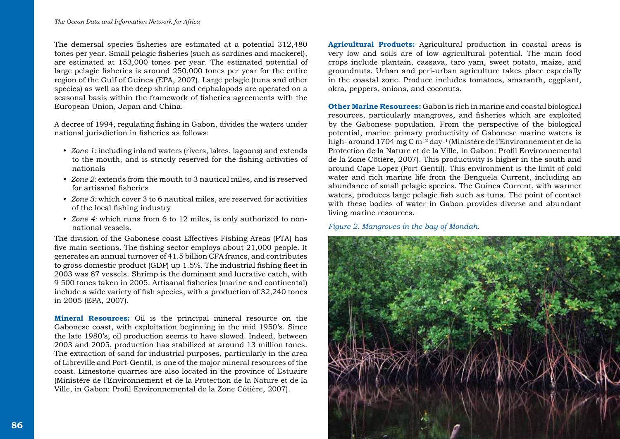The demersal species fisheries are estimated at a potential 312,480 tones per year. Small pelagic fisheries (such as sardines and mackerel), are estimated at 153,000 tones per year. The estimated potential of large pelagic fisheries is around 250,000 tones per year for the entire region of the Gulf of Guinea (EPA, 2007). Large pelagic (tuna and other species) as well as the deep shrimp and cephalopods are operated on a seasonal basis within the framework of fisheries agreements with the European Union, Japan and China.

A decree of 1994, regulating fishing in Gabon, divides the waters under national jurisdiction in fisheries as follows:

- y *Zone 1:* including inland waters (rivers, lakes, lagoons) and extends to the mouth, and is strictly reserved for the fishing activities of nationals
- y *Zone 2:* extends from the mouth to 3 nautical miles, and is reserved for artisanal fisheries
- y *Zone 3:* which cover 3 to 6 nautical miles, are reserved for activities of the local fishing industry
- *Zone 4:* which runs from 6 to 12 miles, is only authorized to nonnational vessels.

The division of the Gabonese coast Effectives Fishing Areas (PTA) has five main sections. The fishing sector employs about 21,000 people. It generates an annual turnover of 41.5 billion CFA francs, and contributes to gross domestic product (GDP) up 1.5%. The industrial fishing fleet in 2003 was 87 vessels. Shrimp is the dominant and lucrative catch, with 9 500 tones taken in 2005. Artisanal fisheries (marine and continental) include a wide variety of fish species, with a production of 32,240 tones in 2005 (EPA, 2007).

**Mineral Resources:** Oil is the principal mineral resource on the Gabonese coast, with exploitation beginning in the mid 1950's. Since the late 1980's, oil production seems to have slowed. Indeed, between 2003 and 2005, production has stabilized at around 13 million tones. The extraction of sand for industrial purposes, particularly in the area of Libreville and Port-Gentil, is one of the major mineral resources of the coast. Limestone quarries are also located in the province of Estuaire (Ministère de l'Environnement et de la Protection de la Nature et de la Ville, in Gabon: Profil Environnemental de la Zone Côtière, 2007).

**Agricultural Products:** Agricultural production in coastal areas is very low and soils are of low agricultural potential. The main food crops include plantain, cassava, taro yam, sweet potato, maize, and groundnuts. Urban and peri-urban agriculture takes place especially in the coastal zone. Produce includes tomatoes, amaranth, eggplant, okra, peppers, onions, and coconuts.

**Other Marine Resources:** Gabon is rich in marine and coastal biological resources, particularly mangroves, and fisheries which are exploited by the Gabonese population. From the perspective of the biological potential, marine primary productivity of Gabonese marine waters is high- around 1704 mg C m-² day-1 (Ministère de l'Environnement et de la Protection de la Nature et de la Ville, in Gabon: Profil Environnemental de la Zone Côtière, 2007). This productivity is higher in the south and around Cape Lopez (Port-Gentil). This environment is the limit of cold water and rich marine life from the Benguela Current, including an abundance of small pelagic species. The Guinea Current, with warmer waters, produces large pelagic fish such as tuna. The point of contact with these bodies of water in Gabon provides diverse and abundant living marine resources.

*Figure 2. Mangroves in the bay of Mondah.*

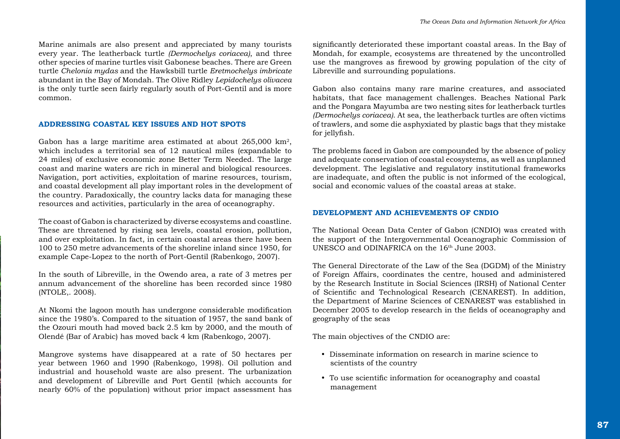Marine animals are also present and appreciated by many tourists every year. The leatherback turtle *(Dermochelys coriacea)*, and three other species of marine turtles visit Gabonese beaches. There are Green turtle *Chelonia mydas* and the Hawksbill turtle *Eretmochelys imbricate* abundant in the Bay of Mondah. The Olive Ridley *Lepidochelys olivacea* is the only turtle seen fairly regularly south of Port-Gentil and is more common.

#### **ADDRESSING COASTAL KEY ISSUES AND HOT SPOTS**

Gabon has a large maritime area estimated at about 265,000 km2, which includes a territorial sea of 12 nautical miles (expandable to 24 miles) of exclusive economic zone Better Term Needed. The large coast and marine waters are rich in mineral and biological resources. Navigation, port activities, exploitation of marine resources, tourism, and coastal development all play important roles in the development of the country. Paradoxically, the country lacks data for managing these resources and activities, particularly in the area of oceanography.

The coast of Gabon is characterized by diverse ecosystems and coastline. These are threatened by rising sea levels, coastal erosion, pollution, and over exploitation. In fact, in certain coastal areas there have been 100 to 250 metre advancements of the shoreline inland since 1950, for example Cape-Lopez to the north of Port-Gentil (Rabenkogo, 2007).

In the south of Libreville, in the Owendo area, a rate of 3 metres per annum advancement of the shoreline has been recorded since 1980 (NTOLE,. 2008).

At Nkomi the lagoon mouth has undergone considerable modification since the 1980's. Compared to the situation of 1957, the sand bank of the Ozouri mouth had moved back 2.5 km by 2000, and the mouth of Olendé (Bar of Arabic) has moved back 4 km (Rabenkogo, 2007).

Mangrove systems have disappeared at a rate of 50 hectares per year between 1960 and 1990 (Rabenkogo, 1998). Oil pollution and industrial and household waste are also present. The urbanization and development of Libreville and Port Gentil (which accounts for nearly 60% of the population) without prior impact assessment has significantly deteriorated these important coastal areas. In the Bay of Mondah, for example, ecosystems are threatened by the uncontrolled use the mangroves as firewood by growing population of the city of Libreville and surrounding populations.

Gabon also contains many rare marine creatures, and associated habitats, that face management challenges. Beaches National Park and the Pongara Mayumba are two nesting sites for leatherback turtles *(Dermochelys coriacea)*. At sea, the leatherback turtles are often victims of trawlers, and some die asphyxiated by plastic bags that they mistake for jellyfish.

The problems faced in Gabon are compounded by the absence of policy and adequate conservation of coastal ecosystems, as well as unplanned development. The legislative and regulatory institutional frameworks are inadequate, and often the public is not informed of the ecological, social and economic values of the coastal areas at stake.

# **DEVELOPMENT AND ACHIEVEMENTS OF CNDIO**

The National Ocean Data Center of Gabon (CNDIO) was created with the support of the Intergovernmental Oceanographic Commission of UNESCO and ODINAFRICA on the 16<sup>th</sup> June 2003.

The General Directorate of the Law of the Sea (DGDM) of the Ministry of Foreign Affairs, coordinates the centre, housed and administered by the Research Institute in Social Sciences (IRSH) of National Center of Scientific and Technological Research (CENAREST). In addition, the Department of Marine Sciences of CENAREST was established in December 2005 to develop research in the fields of oceanography and geography of the seas

The main objectives of the CNDIO are:

- Disseminate information on research in marine science to scientists of the country
- To use scientific information for oceanography and coastal management